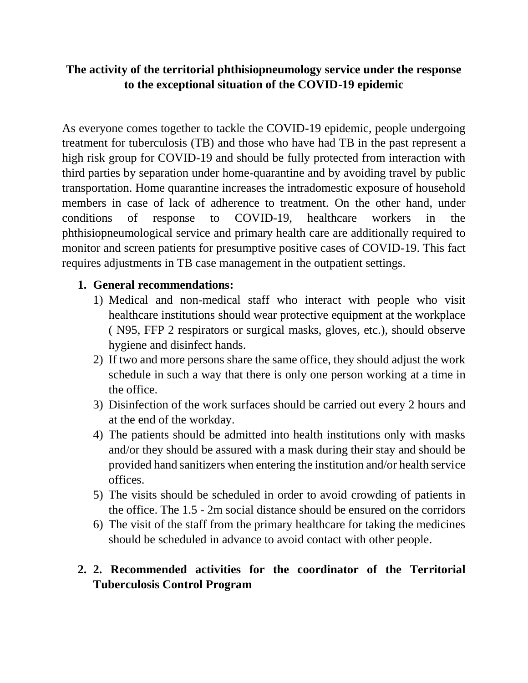## **The activity of the territorial phthisiopneumology service under the response to the exceptional situation of the COVID-19 epidemic**

As everyone comes together to tackle the COVID-19 epidemic, people undergoing treatment for tuberculosis (TB) and those who have had TB in the past represent a high risk group for COVID-19 and should be fully protected from interaction with third parties by separation under home-quarantine and by avoiding travel by public transportation. Home quarantine increases the intradomestic exposure of household members in case of lack of adherence to treatment. On the other hand, under conditions of response to COVID-19, healthcare workers in the phthisiopneumological service and primary health care are additionally required to monitor and screen patients for presumptive positive cases of COVID-19. This fact requires adjustments in TB case management in the outpatient settings.

## **1. General recommendations:**

- 1) Medical and non-medical staff who interact with people who visit healthcare institutions should wear protective equipment at the workplace ( N95, FFP 2 respirators or surgical masks, gloves, etc.), should observe hygiene and disinfect hands.
- 2) If two and more persons share the same office, they should adjust the work schedule in such a way that there is only one person working at a time in the office.
- 3) Disinfection of the work surfaces should be carried out every 2 hours and at the end of the workday.
- 4) The patients should be admitted into health institutions only with masks and/or they should be assured with a mask during their stay and should be provided hand sanitizers when entering the institution and/or health service offices.
- 5) The visits should be scheduled in order to avoid crowding of patients in the office. The 1.5 - 2m social distance should be ensured on the corridors
- 6) The visit of the staff from the primary healthcare for taking the medicines should be scheduled in advance to avoid contact with other people.

## **2. 2. Recommended activities for the coordinator of the Territorial Tuberculosis Control Program**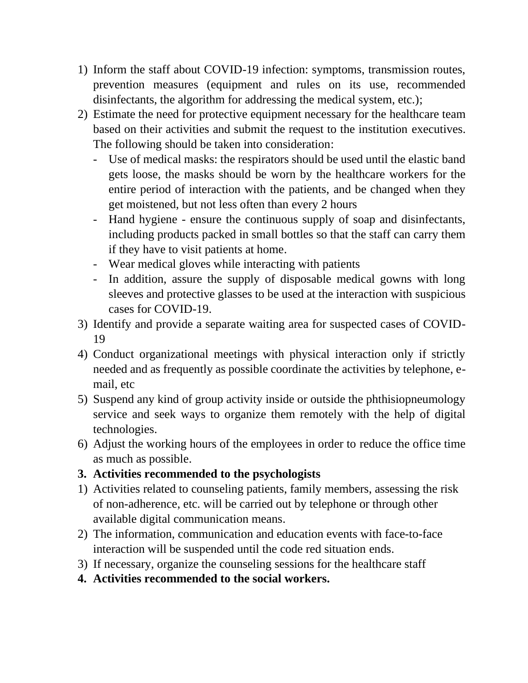- 1) Inform the staff about COVID-19 infection: symptoms, transmission routes, prevention measures (equipment and rules on its use, recommended disinfectants, the algorithm for addressing the medical system, etc.);
- 2) Estimate the need for protective equipment necessary for the healthcare team based on their activities and submit the request to the institution executives. The following should be taken into consideration:
	- Use of medical masks: the respirators should be used until the elastic band gets loose, the masks should be worn by the healthcare workers for the entire period of interaction with the patients, and be changed when they get moistened, but not less often than every 2 hours
	- Hand hygiene ensure the continuous supply of soap and disinfectants, including products packed in small bottles so that the staff can carry them if they have to visit patients at home.
	- Wear medical gloves while interacting with patients
	- In addition, assure the supply of disposable medical gowns with long sleeves and protective glasses to be used at the interaction with suspicious cases for COVID-19.
- 3) Identify and provide a separate waiting area for suspected cases of COVID-19
- 4) Conduct organizational meetings with physical interaction only if strictly needed and as frequently as possible coordinate the activities by telephone, email, etc
- 5) Suspend any kind of group activity inside or outside the phthisiopneumology service and seek ways to organize them remotely with the help of digital technologies.
- 6) Adjust the working hours of the employees in order to reduce the office time as much as possible.

## **3. Activities recommended to the psychologists**

- 1) Activities related to counseling patients, family members, assessing the risk of non-adherence, etc. will be carried out by telephone or through other available digital communication means.
- 2) The information, communication and education events with face-to-face interaction will be suspended until the code red situation ends.
- 3) If necessary, organize the counseling sessions for the healthcare staff
- **4. Activities recommended to the social workers.**